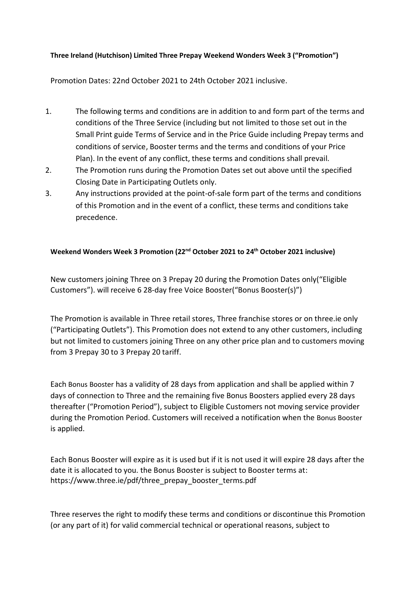## **Three Ireland (Hutchison) Limited Three Prepay Weekend Wonders Week 3 ("Promotion")**

Promotion Dates: 22nd October 2021 to 24th October 2021 inclusive.

- 1. The following terms and conditions are in addition to and form part of the terms and conditions of the Three Service (including but not limited to those set out in the Small Print guide Terms of Service and in the Price Guide including Prepay terms and conditions of service, Booster terms and the terms and conditions of your Price Plan). In the event of any conflict, these terms and conditions shall prevail.
- 2. The Promotion runs during the Promotion Dates set out above until the specified Closing Date in Participating Outlets only.
- 3. Any instructions provided at the point-of-sale form part of the terms and conditions of this Promotion and in the event of a conflict, these terms and conditions take precedence.

## **Weekend Wonders Week 3 Promotion (22nd October 2021 to 24th October 2021 inclusive)**

New customers joining Three on 3 Prepay 20 during the Promotion Dates only("Eligible Customers"). will receive 6 28-day free Voice Booster("Bonus Booster(s)")

The Promotion is available in Three retail stores, Three franchise stores or on three.ie only ("Participating Outlets"). This Promotion does not extend to any other customers, including but not limited to customers joining Three on any other price plan and to customers moving from 3 Prepay 30 to 3 Prepay 20 tariff.

Each Bonus Booster has a validity of 28 days from application and shall be applied within 7 days of connection to Three and the remaining five Bonus Boosters applied every 28 days thereafter ("Promotion Period"), subject to Eligible Customers not moving service provider during the Promotion Period. Customers will received a notification when the Bonus Booster is applied.

Each Bonus Booster will expire as it is used but if it is not used it will expire 28 days after the date it is allocated to you. the Bonus Booster is subject to Booster terms at: [https://www.three.ie/pdf/three\\_prepay\\_booster\\_terms.pdf](https://www.three.ie/pdf/three_prepay_booster_terms.pdf)

Three reserves the right to modify these terms and conditions or discontinue this Promotion (or any part of it) for valid commercial technical or operational reasons, subject to